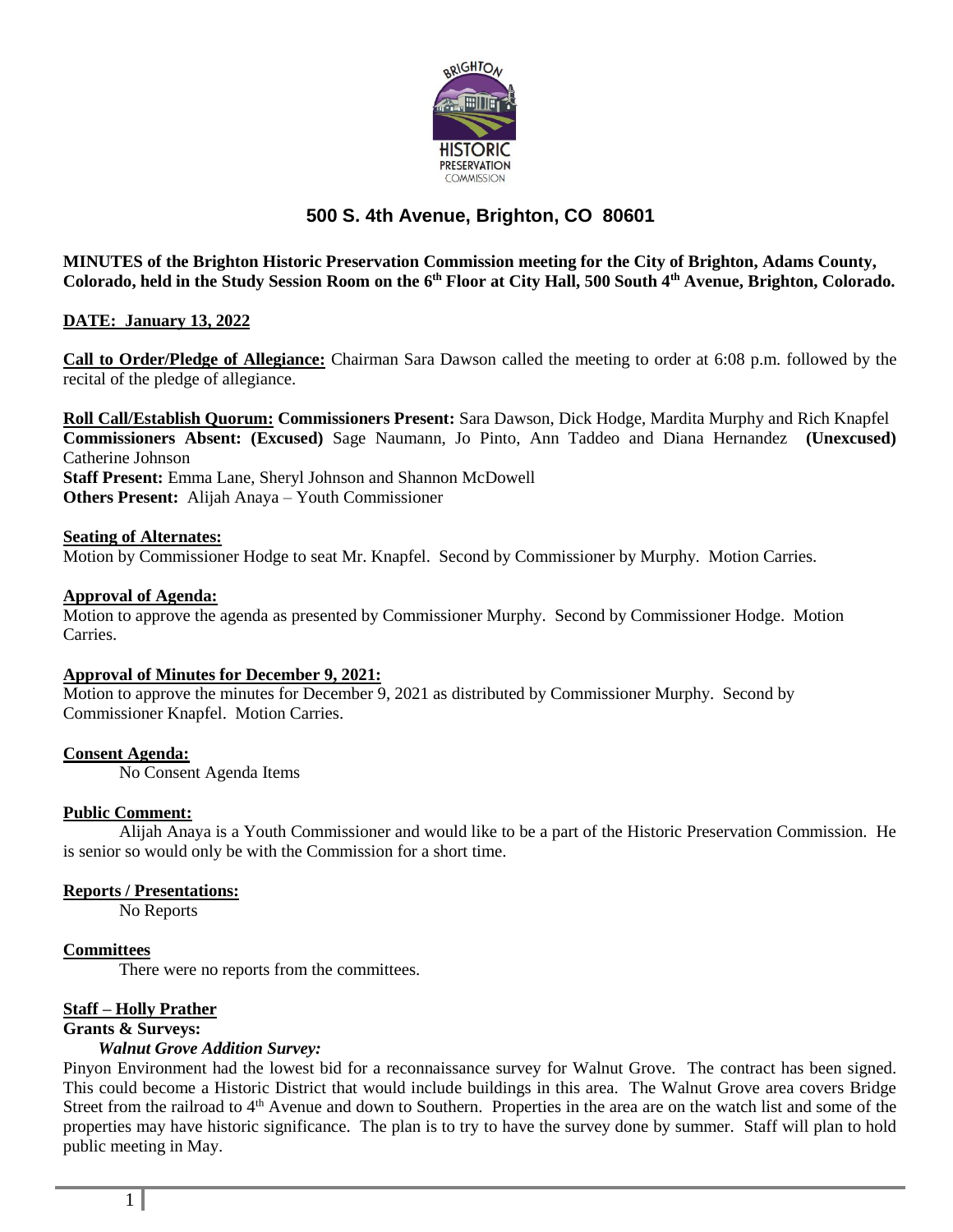

# **500 S. 4th Avenue, Brighton, CO 80601**

**MINUTES of the Brighton Historic Preservation Commission meeting for the City of Brighton, Adams County, Colorado, held in the Study Session Room on the 6 th Floor at City Hall, 500 South 4th Avenue, Brighton, Colorado.**

## **DATE: January 13, 2022**

**Call to Order/Pledge of Allegiance:** Chairman Sara Dawson called the meeting to order at 6:08 p.m. followed by the recital of the pledge of allegiance.

**Roll Call/Establish Quorum: Commissioners Present:** Sara Dawson, Dick Hodge, Mardita Murphy and Rich Knapfel **Commissioners Absent: (Excused)** Sage Naumann, Jo Pinto, Ann Taddeo and Diana Hernandez **(Unexcused)**  Catherine Johnson **Staff Present:** Emma Lane, Sheryl Johnson and Shannon McDowell **Others Present:** Alijah Anaya – Youth Commissioner

#### **Seating of Alternates:**

Motion by Commissioner Hodge to seat Mr. Knapfel. Second by Commissioner by Murphy. Motion Carries.

#### **Approval of Agenda:**

Motion to approve the agenda as presented by Commissioner Murphy. Second by Commissioner Hodge. Motion Carries.

#### **Approval of Minutes for December 9, 2021:**

Motion to approve the minutes for December 9, 2021 as distributed by Commissioner Murphy. Second by Commissioner Knapfel. Motion Carries.

### **Consent Agenda:**

No Consent Agenda Items

### **Public Comment:**

Alijah Anaya is a Youth Commissioner and would like to be a part of the Historic Preservation Commission. He is senior so would only be with the Commission for a short time.

#### **Reports / Presentations:**

No Reports

## **Committees**

There were no reports from the committees.

### **Staff – Holly Prather**

**Grants & Surveys:**

#### *Walnut Grove Addition Survey:*

Pinyon Environment had the lowest bid for a reconnaissance survey for Walnut Grove. The contract has been signed. This could become a Historic District that would include buildings in this area. The Walnut Grove area covers Bridge Street from the railroad to 4<sup>th</sup> Avenue and down to Southern. Properties in the area are on the watch list and some of the properties may have historic significance. The plan is to try to have the survey done by summer. Staff will plan to hold public meeting in May.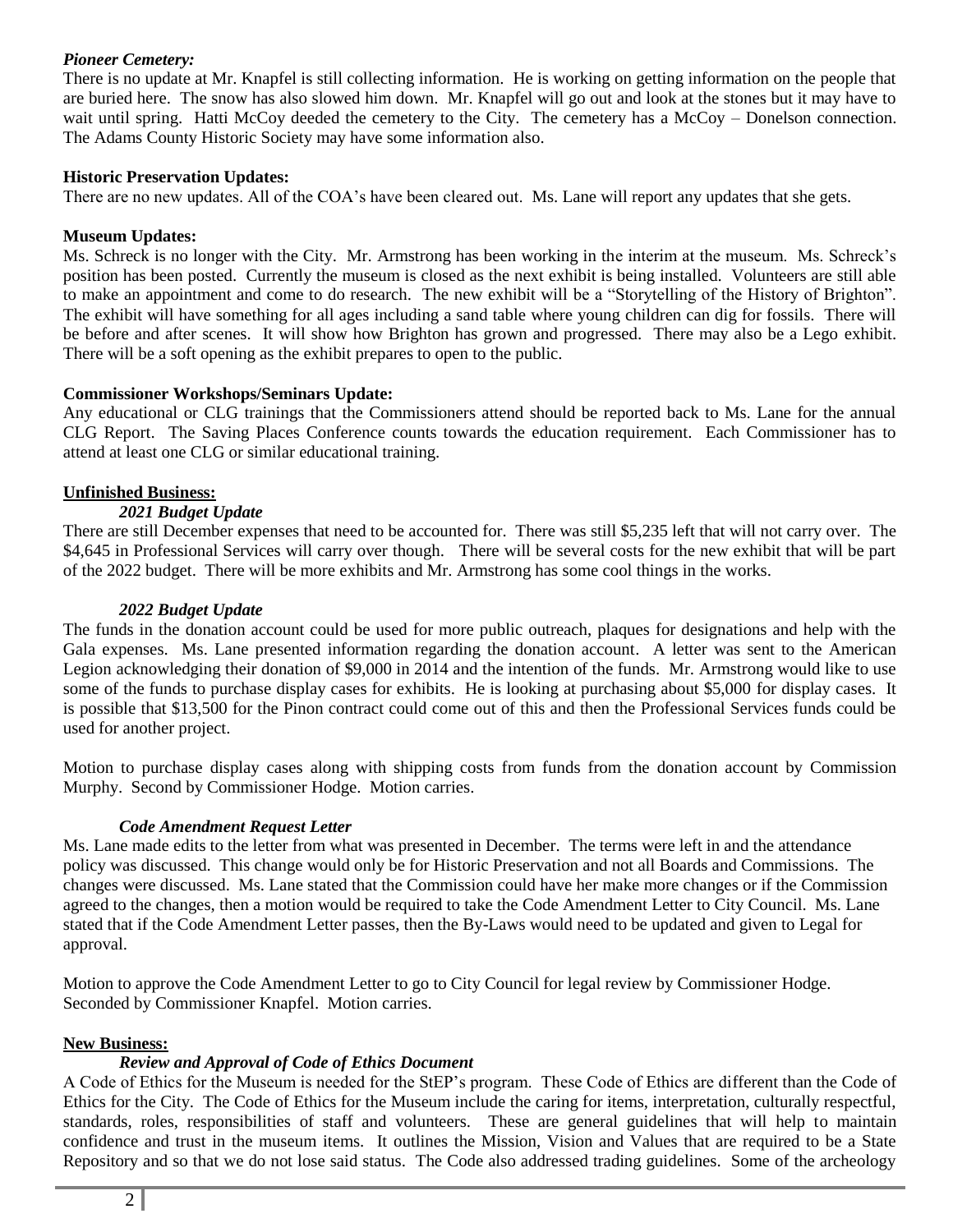## *Pioneer Cemetery:*

There is no update at Mr. Knapfel is still collecting information. He is working on getting information on the people that are buried here. The snow has also slowed him down. Mr. Knapfel will go out and look at the stones but it may have to wait until spring. Hatti McCoy deeded the cemetery to the City. The cemetery has a McCoy – Donelson connection. The Adams County Historic Society may have some information also.

## **Historic Preservation Updates:**

There are no new updates. All of the COA's have been cleared out. Ms. Lane will report any updates that she gets.

## **Museum Updates:**

Ms. Schreck is no longer with the City. Mr. Armstrong has been working in the interim at the museum. Ms. Schreck's position has been posted. Currently the museum is closed as the next exhibit is being installed. Volunteers are still able to make an appointment and come to do research. The new exhibit will be a "Storytelling of the History of Brighton". The exhibit will have something for all ages including a sand table where young children can dig for fossils. There will be before and after scenes. It will show how Brighton has grown and progressed. There may also be a Lego exhibit. There will be a soft opening as the exhibit prepares to open to the public.

## **Commissioner Workshops/Seminars Update:**

Any educational or CLG trainings that the Commissioners attend should be reported back to Ms. Lane for the annual CLG Report. The Saving Places Conference counts towards the education requirement. Each Commissioner has to attend at least one CLG or similar educational training.

## **Unfinished Business:**

## *2021 Budget Update*

There are still December expenses that need to be accounted for. There was still \$5,235 left that will not carry over. The \$4,645 in Professional Services will carry over though. There will be several costs for the new exhibit that will be part of the 2022 budget. There will be more exhibits and Mr. Armstrong has some cool things in the works.

## *2022 Budget Update*

The funds in the donation account could be used for more public outreach, plaques for designations and help with the Gala expenses. Ms. Lane presented information regarding the donation account. A letter was sent to the American Legion acknowledging their donation of \$9,000 in 2014 and the intention of the funds. Mr. Armstrong would like to use some of the funds to purchase display cases for exhibits. He is looking at purchasing about \$5,000 for display cases. It is possible that \$13,500 for the Pinon contract could come out of this and then the Professional Services funds could be used for another project.

Motion to purchase display cases along with shipping costs from funds from the donation account by Commission Murphy. Second by Commissioner Hodge. Motion carries.

## *Code Amendment Request Letter*

Ms. Lane made edits to the letter from what was presented in December. The terms were left in and the attendance policy was discussed. This change would only be for Historic Preservation and not all Boards and Commissions. The changes were discussed. Ms. Lane stated that the Commission could have her make more changes or if the Commission agreed to the changes, then a motion would be required to take the Code Amendment Letter to City Council. Ms. Lane stated that if the Code Amendment Letter passes, then the By-Laws would need to be updated and given to Legal for approval.

Motion to approve the Code Amendment Letter to go to City Council for legal review by Commissioner Hodge. Seconded by Commissioner Knapfel. Motion carries.

## **New Business:**

### *Review and Approval of Code of Ethics Document*

A Code of Ethics for the Museum is needed for the StEP's program. These Code of Ethics are different than the Code of Ethics for the City. The Code of Ethics for the Museum include the caring for items, interpretation, culturally respectful, standards, roles, responsibilities of staff and volunteers. These are general guidelines that will help to maintain confidence and trust in the museum items. It outlines the Mission, Vision and Values that are required to be a State Repository and so that we do not lose said status. The Code also addressed trading guidelines. Some of the archeology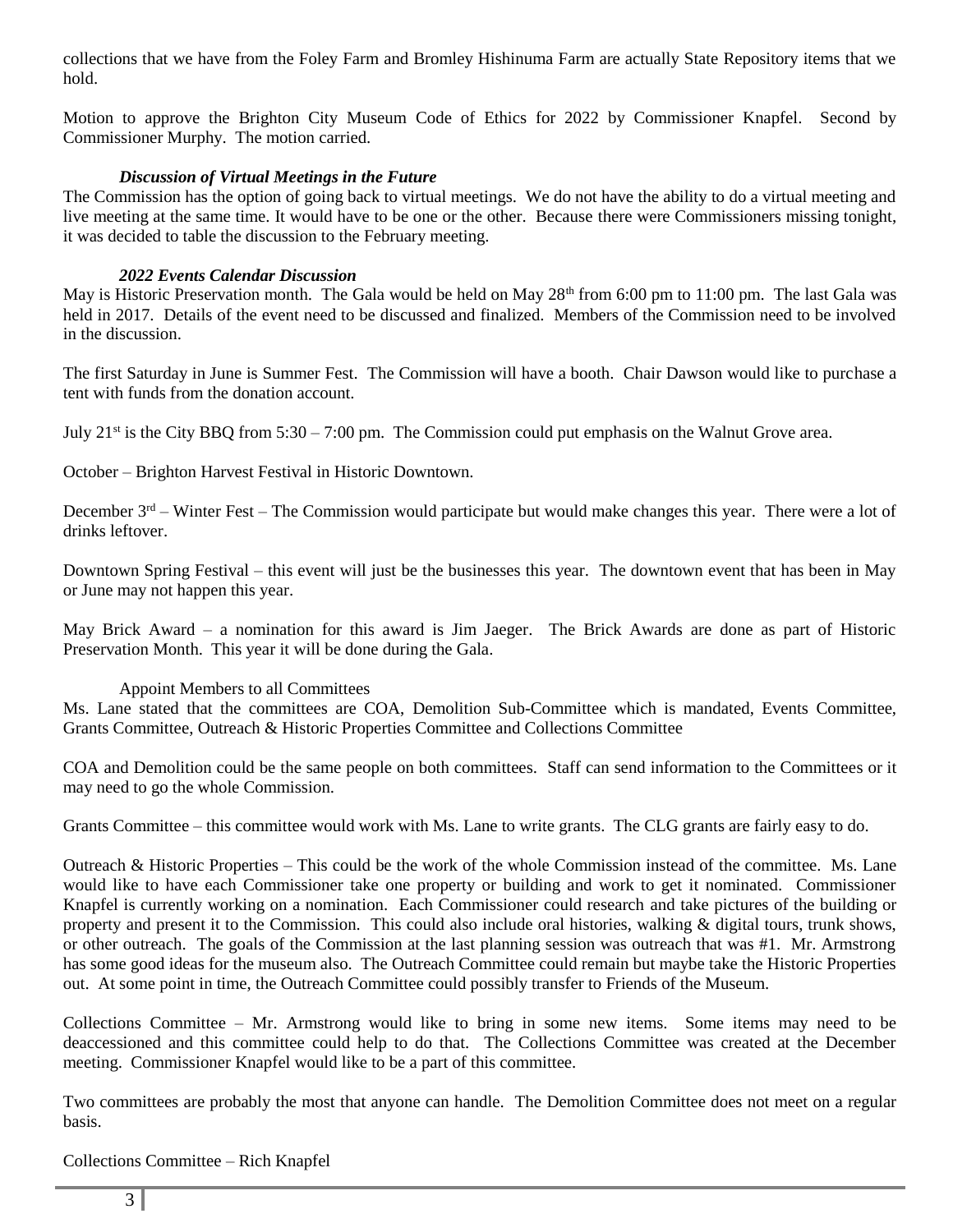collections that we have from the Foley Farm and Bromley Hishinuma Farm are actually State Repository items that we hold.

Motion to approve the Brighton City Museum Code of Ethics for 2022 by Commissioner Knapfel. Second by Commissioner Murphy. The motion carried.

### *Discussion of Virtual Meetings in the Future*

The Commission has the option of going back to virtual meetings. We do not have the ability to do a virtual meeting and live meeting at the same time. It would have to be one or the other. Because there were Commissioners missing tonight, it was decided to table the discussion to the February meeting.

## *2022 Events Calendar Discussion*

May is Historic Preservation month. The Gala would be held on May 28<sup>th</sup> from 6:00 pm to 11:00 pm. The last Gala was held in 2017. Details of the event need to be discussed and finalized. Members of the Commission need to be involved in the discussion.

The first Saturday in June is Summer Fest. The Commission will have a booth. Chair Dawson would like to purchase a tent with funds from the donation account.

July 21st is the City BBQ from 5:30 – 7:00 pm. The Commission could put emphasis on the Walnut Grove area.

October – Brighton Harvest Festival in Historic Downtown.

December  $3<sup>rd</sup>$  – Winter Fest – The Commission would participate but would make changes this year. There were a lot of drinks leftover.

Downtown Spring Festival – this event will just be the businesses this year. The downtown event that has been in May or June may not happen this year.

May Brick Award – a nomination for this award is Jim Jaeger. The Brick Awards are done as part of Historic Preservation Month. This year it will be done during the Gala.

### Appoint Members to all Committees

Ms. Lane stated that the committees are COA, Demolition Sub-Committee which is mandated, Events Committee, Grants Committee, Outreach & Historic Properties Committee and Collections Committee

COA and Demolition could be the same people on both committees. Staff can send information to the Committees or it may need to go the whole Commission.

Grants Committee – this committee would work with Ms. Lane to write grants. The CLG grants are fairly easy to do.

Outreach & Historic Properties – This could be the work of the whole Commission instead of the committee. Ms. Lane would like to have each Commissioner take one property or building and work to get it nominated. Commissioner Knapfel is currently working on a nomination. Each Commissioner could research and take pictures of the building or property and present it to the Commission. This could also include oral histories, walking & digital tours, trunk shows, or other outreach. The goals of the Commission at the last planning session was outreach that was #1. Mr. Armstrong has some good ideas for the museum also. The Outreach Committee could remain but maybe take the Historic Properties out. At some point in time, the Outreach Committee could possibly transfer to Friends of the Museum.

Collections Committee – Mr. Armstrong would like to bring in some new items. Some items may need to be deaccessioned and this committee could help to do that. The Collections Committee was created at the December meeting. Commissioner Knapfel would like to be a part of this committee.

Two committees are probably the most that anyone can handle. The Demolition Committee does not meet on a regular basis.

Collections Committee – Rich Knapfel